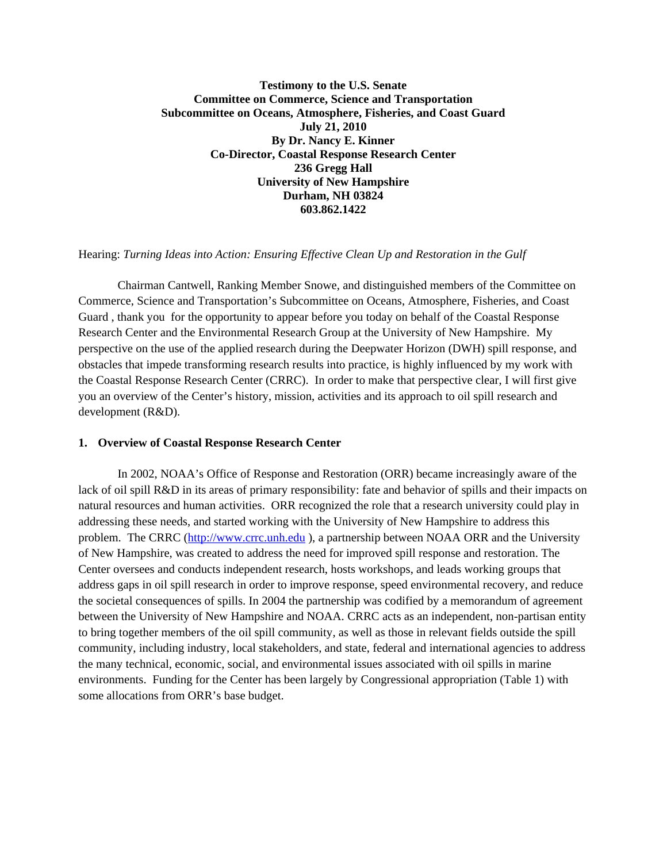# **Testimony to the U.S. Senate Committee on Commerce, Science and Transportation Subcommittee on Oceans, Atmosphere, Fisheries, and Coast Guard July 21, 2010 By Dr. Nancy E. Kinner Co-Director, Coastal Response Research Center 236 Gregg Hall University of New Hampshire Durham, NH 03824 603.862.1422**

### Hearing: *Turning Ideas into Action: Ensuring Effective Clean Up and Restoration in the Gulf*

Chairman Cantwell, Ranking Member Snowe, and distinguished members of the Committee on Commerce, Science and Transportation's Subcommittee on Oceans, Atmosphere, Fisheries, and Coast Guard , thank you for the opportunity to appear before you today on behalf of the Coastal Response Research Center and the Environmental Research Group at the University of New Hampshire. My perspective on the use of the applied research during the Deepwater Horizon (DWH) spill response, and obstacles that impede transforming research results into practice, is highly influenced by my work with the Coastal Response Research Center (CRRC). In order to make that perspective clear, I will first give you an overview of the Center's history, mission, activities and its approach to oil spill research and development (R&D).

### **1. Overview of Coastal Response Research Center**

In 2002, NOAA's Office of Response and Restoration (ORR) became increasingly aware of the lack of oil spill R&D in its areas of primary responsibility: fate and behavior of spills and their impacts on natural resources and human activities. ORR recognized the role that a research university could play in addressing these needs, and started working with the University of New Hampshire to address this problem. The CRRC (http://www.crrc.unh.edu ), a partnership between NOAA ORR and the University of New Hampshire, was created to address the need for improved spill response and restoration. The Center oversees and conducts independent research, hosts workshops, and leads working groups that address gaps in oil spill research in order to improve response, speed environmental recovery, and reduce the societal consequences of spills. In 2004 the partnership was codified by a memorandum of agreement between the University of New Hampshire and NOAA. CRRC acts as an independent, non-partisan entity to bring together members of the oil spill community, as well as those in relevant fields outside the spill community, including industry, local stakeholders, and state, federal and international agencies to address the many technical, economic, social, and environmental issues associated with oil spills in marine environments. Funding for the Center has been largely by Congressional appropriation (Table 1) with some allocations from ORR's base budget.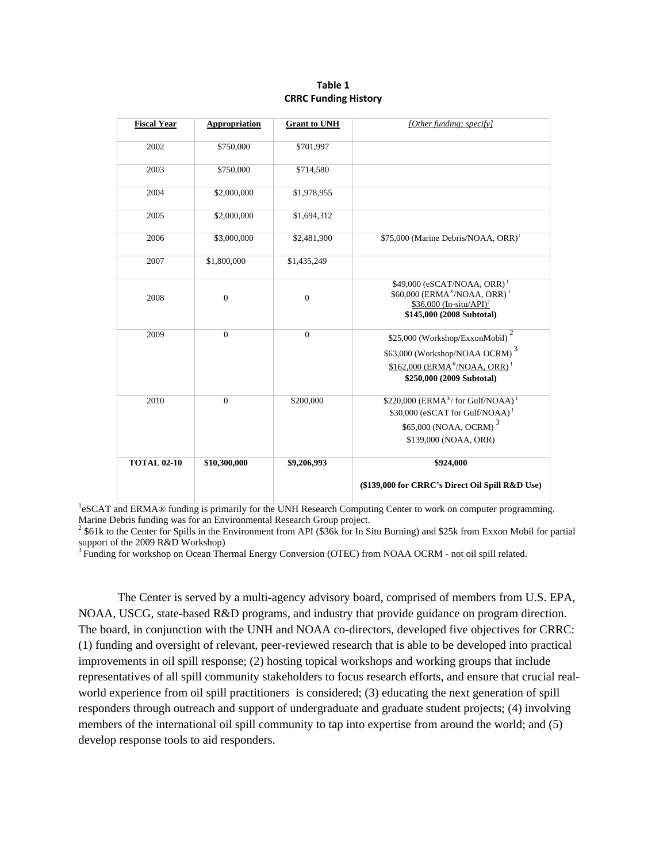#### **Table 1 CRRC Funding History**

| <b>Fiscal Year</b> | <b>Appropriation</b> | <b>Grant to UNH</b> | [Other funding; specify]                                                                                                                                                         |
|--------------------|----------------------|---------------------|----------------------------------------------------------------------------------------------------------------------------------------------------------------------------------|
| 2002               | \$750,000            | \$701,997           |                                                                                                                                                                                  |
| 2003               | \$750,000            | \$714,580           |                                                                                                                                                                                  |
| 2004               | \$2,000,000          | \$1,978,955         |                                                                                                                                                                                  |
| 2005               | \$2,000,000          | \$1,694,312         |                                                                                                                                                                                  |
| 2006               | \$3,000,000          | \$2,481,900         | \$75,000 (Marine Debris/NOAA, ORR) <sup>1</sup>                                                                                                                                  |
| 2007               | \$1,800,000          | \$1,435,249         |                                                                                                                                                                                  |
| 2008               | $\overline{0}$       | $\mathbf{0}$        | \$49,000 (eSCAT/NOAA, ORR) <sup>1</sup><br>\$60,000 (ERMA®/NOAA, ORR) <sup>1</sup><br>$$36,000 (In-situ/API)^2$$<br>\$145,000 (2008 Subtotal)                                    |
| 2009               | $\overline{0}$       | $\overline{0}$      | $\overline{2}$<br>\$25,000 (Workshop/ExxonMobil)<br>$\$63,\!000$ (Workshop/NOAA OCRM) $^3$<br>\$162,000 (ERMA <sup>®</sup> /NOAA, ORR) <sup>1</sup><br>\$250,000 (2009 Subtotal) |
| 2010               | $\overline{0}$       | \$200,000           | $$220,000$ (ERMA <sup>®</sup> / for Gulf/NOAA) <sup>1</sup><br>\$30,000 (eSCAT for Gulf/NOAA) <sup>1</sup><br>\$65,000 (NOAA, OCRM) <sup>3</sup><br>\$139,000 (NOAA, ORR)        |
| <b>TOTAL 02-10</b> | \$10,300,000         | \$9,206,993         | \$924,000<br>(\$139,000 for CRRC's Direct Oil Spill R&D Use)                                                                                                                     |

<sup>1</sup>eSCAT and ERMA® funding is primarily for the UNH Research Computing Center to work on computer programming. Marine Debris funding was for an Environmental Research Group project. 2

 $2$  \$61k to the Center for Spills in the Environment from API (\$36k for In Situ Burning) and \$25k from Exxon Mobil for partial support of the 2009 R&D Workshop)

<sup>3</sup> Funding for workshop on Ocean Thermal Energy Conversion (OTEC) from NOAA OCRM - not oil spill related.

The Center is served by a multi-agency advisory board, comprised of members from U.S. EPA, NOAA, USCG, state-based R&D programs, and industry that provide guidance on program direction. The board, in conjunction with the UNH and NOAA co-directors, developed five objectives for CRRC: (1) funding and oversight of relevant, peer-reviewed research that is able to be developed into practical improvements in oil spill response; (2) hosting topical workshops and working groups that include representatives of all spill community stakeholders to focus research efforts, and ensure that crucial realworld experience from oil spill practitioners is considered; (3) educating the next generation of spill responders through outreach and support of undergraduate and graduate student projects; (4) involving members of the international oil spill community to tap into expertise from around the world; and (5) develop response tools to aid responders.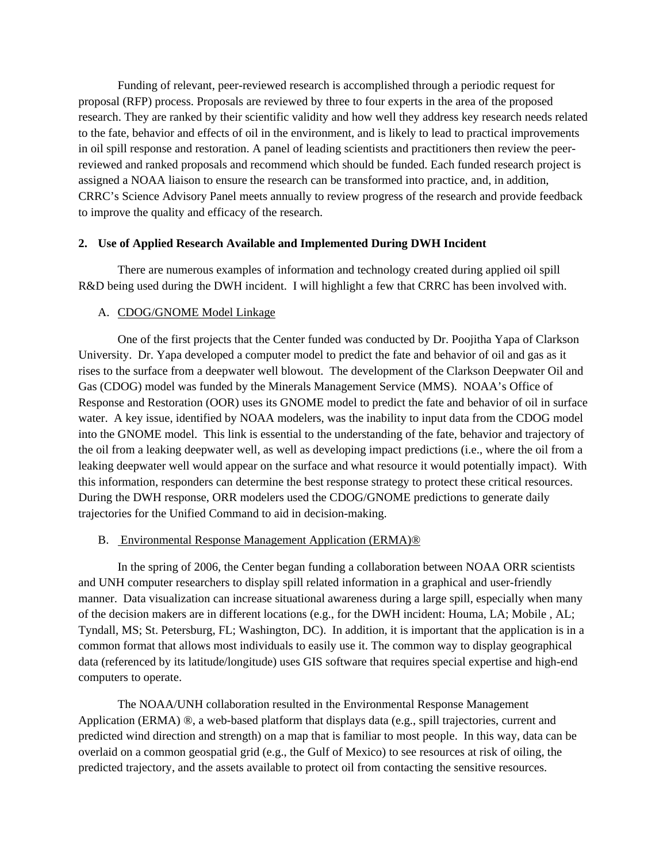Funding of relevant, peer-reviewed research is accomplished through a periodic request for proposal (RFP) process. Proposals are reviewed by three to four experts in the area of the proposed research. They are ranked by their scientific validity and how well they address key research needs related to the fate, behavior and effects of oil in the environment, and is likely to lead to practical improvements in oil spill response and restoration. A panel of leading scientists and practitioners then review the peerreviewed and ranked proposals and recommend which should be funded. Each funded research project is assigned a NOAA liaison to ensure the research can be transformed into practice, and, in addition, CRRC's Science Advisory Panel meets annually to review progress of the research and provide feedback to improve the quality and efficacy of the research.

# **2. Use of Applied Research Available and Implemented During DWH Incident**

There are numerous examples of information and technology created during applied oil spill R&D being used during the DWH incident. I will highlight a few that CRRC has been involved with.

### A. CDOG/GNOME Model Linkage

One of the first projects that the Center funded was conducted by Dr. Poojitha Yapa of Clarkson University. Dr. Yapa developed a computer model to predict the fate and behavior of oil and gas as it rises to the surface from a deepwater well blowout. The development of the Clarkson Deepwater Oil and Gas (CDOG) model was funded by the Minerals Management Service (MMS). NOAA's Office of Response and Restoration (OOR) uses its GNOME model to predict the fate and behavior of oil in surface water. A key issue, identified by NOAA modelers, was the inability to input data from the CDOG model into the GNOME model. This link is essential to the understanding of the fate, behavior and trajectory of the oil from a leaking deepwater well, as well as developing impact predictions (i.e., where the oil from a leaking deepwater well would appear on the surface and what resource it would potentially impact). With this information, responders can determine the best response strategy to protect these critical resources. During the DWH response, ORR modelers used the CDOG/GNOME predictions to generate daily trajectories for the Unified Command to aid in decision-making.

### B. Environmental Response Management Application (ERMA)®

In the spring of 2006, the Center began funding a collaboration between NOAA ORR scientists and UNH computer researchers to display spill related information in a graphical and user-friendly manner. Data visualization can increase situational awareness during a large spill, especially when many of the decision makers are in different locations (e.g., for the DWH incident: Houma, LA; Mobile , AL; Tyndall, MS; St. Petersburg, FL; Washington, DC). In addition, it is important that the application is in a common format that allows most individuals to easily use it. The common way to display geographical data (referenced by its latitude/longitude) uses GIS software that requires special expertise and high-end computers to operate.

The NOAA/UNH collaboration resulted in the Environmental Response Management Application (ERMA)  $\mathcal{R}$ , a web-based platform that displays data (e.g., spill trajectories, current and predicted wind direction and strength) on a map that is familiar to most people. In this way, data can be overlaid on a common geospatial grid (e.g., the Gulf of Mexico) to see resources at risk of oiling, the predicted trajectory, and the assets available to protect oil from contacting the sensitive resources.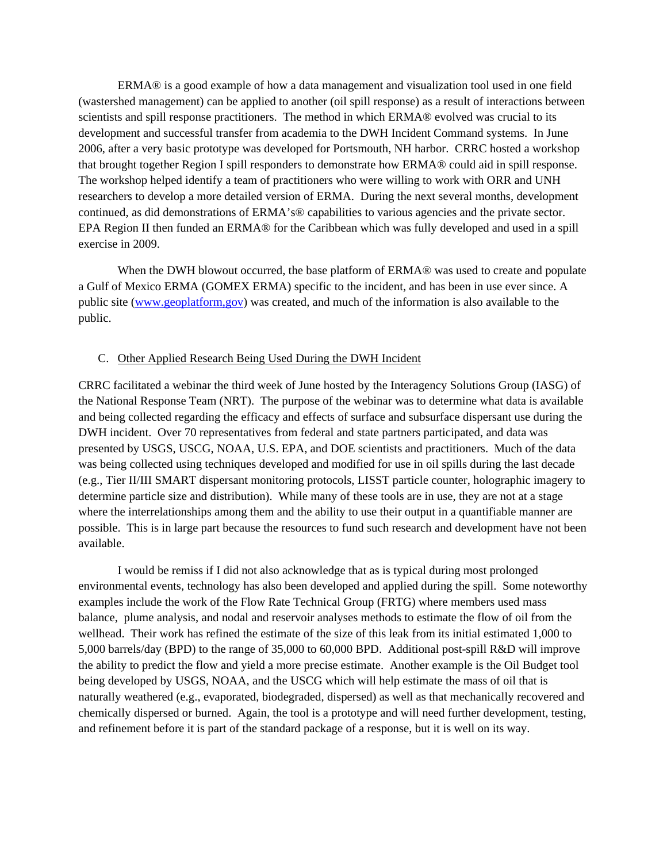ERMA® is a good example of how a data management and visualization tool used in one field (wastershed management) can be applied to another (oil spill response) as a result of interactions between scientists and spill response practitioners. The method in which ERMA® evolved was crucial to its development and successful transfer from academia to the DWH Incident Command systems. In June 2006, after a very basic prototype was developed for Portsmouth, NH harbor. CRRC hosted a workshop that brought together Region I spill responders to demonstrate how ERMA® could aid in spill response. The workshop helped identify a team of practitioners who were willing to work with ORR and UNH researchers to develop a more detailed version of ERMA. During the next several months, development continued, as did demonstrations of ERMA's® capabilities to various agencies and the private sector. EPA Region II then funded an ERMA® for the Caribbean which was fully developed and used in a spill exercise in 2009.

When the DWH blowout occurred, the base platform of ERMA<sup>®</sup> was used to create and populate a Gulf of Mexico ERMA (GOMEX ERMA) specific to the incident, and has been in use ever since. A public site (www.geoplatform,gov) was created, and much of the information is also available to the public.

### C. Other Applied Research Being Used During the DWH Incident

CRRC facilitated a webinar the third week of June hosted by the Interagency Solutions Group (IASG) of the National Response Team (NRT). The purpose of the webinar was to determine what data is available and being collected regarding the efficacy and effects of surface and subsurface dispersant use during the DWH incident. Over 70 representatives from federal and state partners participated, and data was presented by USGS, USCG, NOAA, U.S. EPA, and DOE scientists and practitioners. Much of the data was being collected using techniques developed and modified for use in oil spills during the last decade (e.g., Tier II/III SMART dispersant monitoring protocols, LISST particle counter, holographic imagery to determine particle size and distribution). While many of these tools are in use, they are not at a stage where the interrelationships among them and the ability to use their output in a quantifiable manner are possible. This is in large part because the resources to fund such research and development have not been available.

I would be remiss if I did not also acknowledge that as is typical during most prolonged environmental events, technology has also been developed and applied during the spill. Some noteworthy examples include the work of the Flow Rate Technical Group (FRTG) where members used mass balance, plume analysis, and nodal and reservoir analyses methods to estimate the flow of oil from the wellhead. Their work has refined the estimate of the size of this leak from its initial estimated 1,000 to 5,000 barrels/day (BPD) to the range of 35,000 to 60,000 BPD. Additional post-spill R&D will improve the ability to predict the flow and yield a more precise estimate. Another example is the Oil Budget tool being developed by USGS, NOAA, and the USCG which will help estimate the mass of oil that is naturally weathered (e.g., evaporated, biodegraded, dispersed) as well as that mechanically recovered and chemically dispersed or burned. Again, the tool is a prototype and will need further development, testing, and refinement before it is part of the standard package of a response, but it is well on its way.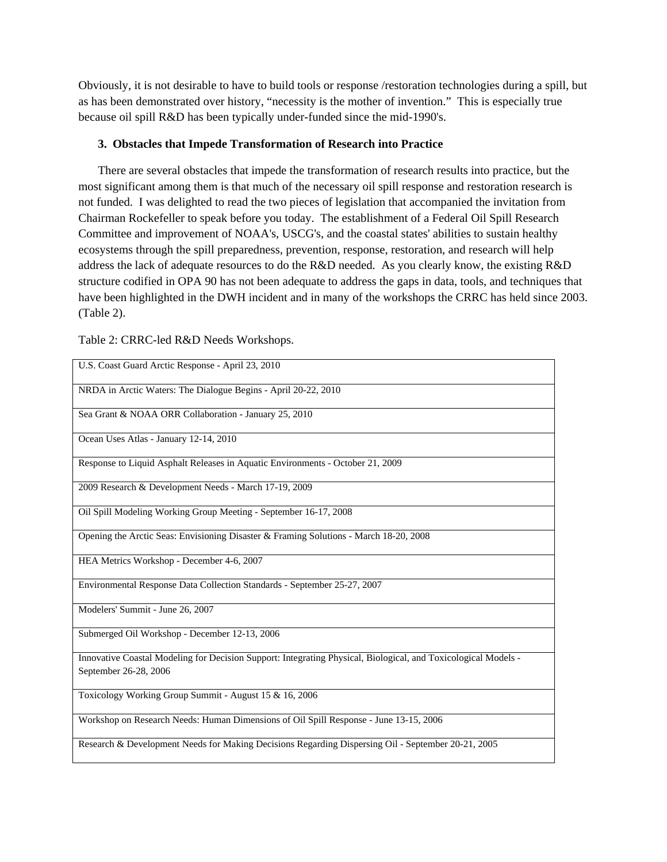Obviously, it is not desirable to have to build tools or response /restoration technologies during a spill, but as has been demonstrated over history, "necessity is the mother of invention." This is especially true because oil spill R&D has been typically under-funded since the mid-1990's.

# **3. Obstacles that Impede Transformation of Research into Practice**

There are several obstacles that impede the transformation of research results into practice, but the most significant among them is that much of the necessary oil spill response and restoration research is not funded. I was delighted to read the two pieces of legislation that accompanied the invitation from Chairman Rockefeller to speak before you today. The establishment of a Federal Oil Spill Research Committee and improvement of NOAA's, USCG's, and the coastal states' abilities to sustain healthy ecosystems through the spill preparedness, prevention, response, restoration, and research will help address the lack of adequate resources to do the R&D needed. As you clearly know, the existing R&D structure codified in OPA 90 has not been adequate to address the gaps in data, tools, and techniques that have been highlighted in the DWH incident and in many of the workshops the CRRC has held since 2003. (Table 2).

| U.S. Coast Guard Arctic Response - April 23, 2010                                                                                       |
|-----------------------------------------------------------------------------------------------------------------------------------------|
| NRDA in Arctic Waters: The Dialogue Begins - April 20-22, 2010                                                                          |
| Sea Grant & NOAA ORR Collaboration - January 25, 2010                                                                                   |
| Ocean Uses Atlas - January 12-14, 2010                                                                                                  |
| Response to Liquid Asphalt Releases in Aquatic Environments - October 21, 2009                                                          |
| 2009 Research & Development Needs - March 17-19, 2009                                                                                   |
| Oil Spill Modeling Working Group Meeting - September 16-17, 2008                                                                        |
| Opening the Arctic Seas: Envisioning Disaster & Framing Solutions - March 18-20, 2008                                                   |
| HEA Metrics Workshop - December 4-6, 2007                                                                                               |
| Environmental Response Data Collection Standards - September 25-27, 2007                                                                |
| Modelers' Summit - June 26, 2007                                                                                                        |
| Submerged Oil Workshop - December 12-13, 2006                                                                                           |
| Innovative Coastal Modeling for Decision Support: Integrating Physical, Biological, and Toxicological Models -<br>September 26-28, 2006 |
| Toxicology Working Group Summit - August 15 & 16, 2006                                                                                  |
| Workshop on Research Needs: Human Dimensions of Oil Spill Response - June 13-15, 2006                                                   |
| Research & Development Needs for Making Decisions Regarding Dispersing Oil - September 20-21, 2005                                      |

Table 2: CRRC-led R&D Needs Workshops.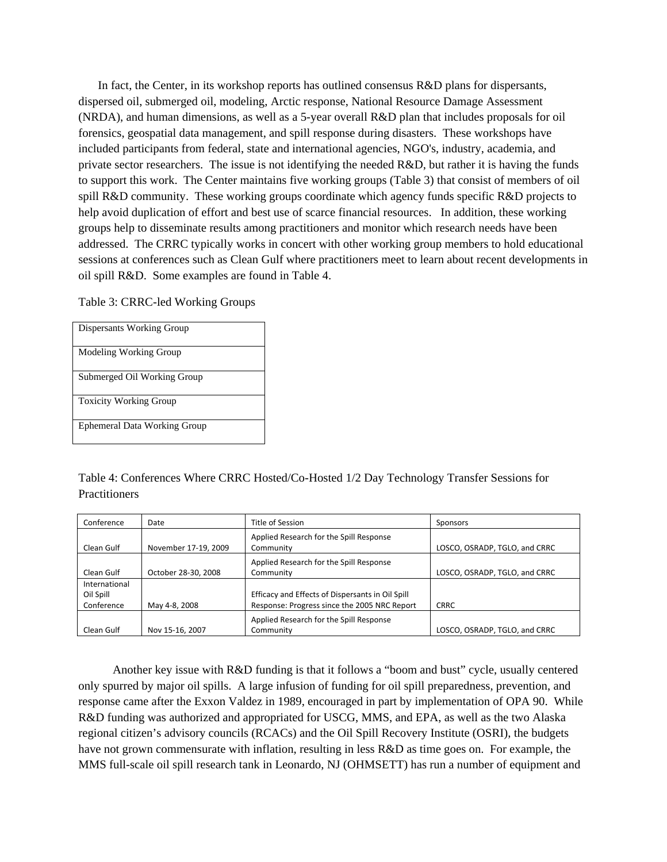In fact, the Center, in its workshop reports has outlined consensus R&D plans for dispersants, dispersed oil, submerged oil, modeling, Arctic response, National Resource Damage Assessment (NRDA), and human dimensions, as well as a 5-year overall R&D plan that includes proposals for oil forensics, geospatial data management, and spill response during disasters. These workshops have included participants from federal, state and international agencies, NGO's, industry, academia, and private sector researchers. The issue is not identifying the needed R&D, but rather it is having the funds to support this work. The Center maintains five working groups (Table 3) that consist of members of oil spill R&D community. These working groups coordinate which agency funds specific R&D projects to help avoid duplication of effort and best use of scarce financial resources. In addition, these working groups help to disseminate results among practitioners and monitor which research needs have been addressed. The CRRC typically works in concert with other working group members to hold educational sessions at conferences such as Clean Gulf where practitioners meet to learn about recent developments in oil spill R&D. Some examples are found in Table 4.

Table 3: CRRC-led Working Groups

| Dispersants Working Group     |
|-------------------------------|
| Modeling Working Group        |
| Submerged Oil Working Group   |
| <b>Toxicity Working Group</b> |
| Ephemeral Data Working Group  |

Table 4: Conferences Where CRRC Hosted/Co-Hosted 1/2 Day Technology Transfer Sessions for **Practitioners** 

| Conference                               | Date                 | Title of Session                                                                                 | Sponsors                      |
|------------------------------------------|----------------------|--------------------------------------------------------------------------------------------------|-------------------------------|
| Clean Gulf                               | November 17-19, 2009 | Applied Research for the Spill Response<br>Community                                             | LOSCO, OSRADP, TGLO, and CRRC |
| Clean Gulf                               | October 28-30, 2008  | Applied Research for the Spill Response<br>Community                                             | LOSCO, OSRADP, TGLO, and CRRC |
| International<br>Oil Spill<br>Conference | May 4-8, 2008        | Efficacy and Effects of Dispersants in Oil Spill<br>Response: Progress since the 2005 NRC Report | <b>CRRC</b>                   |
| Clean Gulf                               | Nov 15-16, 2007      | Applied Research for the Spill Response<br>Community                                             | LOSCO, OSRADP, TGLO, and CRRC |

Another key issue with R&D funding is that it follows a "boom and bust" cycle, usually centered only spurred by major oil spills. A large infusion of funding for oil spill preparedness, prevention, and response came after the Exxon Valdez in 1989, encouraged in part by implementation of OPA 90. While R&D funding was authorized and appropriated for USCG, MMS, and EPA, as well as the two Alaska regional citizen's advisory councils (RCACs) and the Oil Spill Recovery Institute (OSRI), the budgets have not grown commensurate with inflation, resulting in less R&D as time goes on. For example, the MMS full-scale oil spill research tank in Leonardo, NJ (OHMSETT) has run a number of equipment and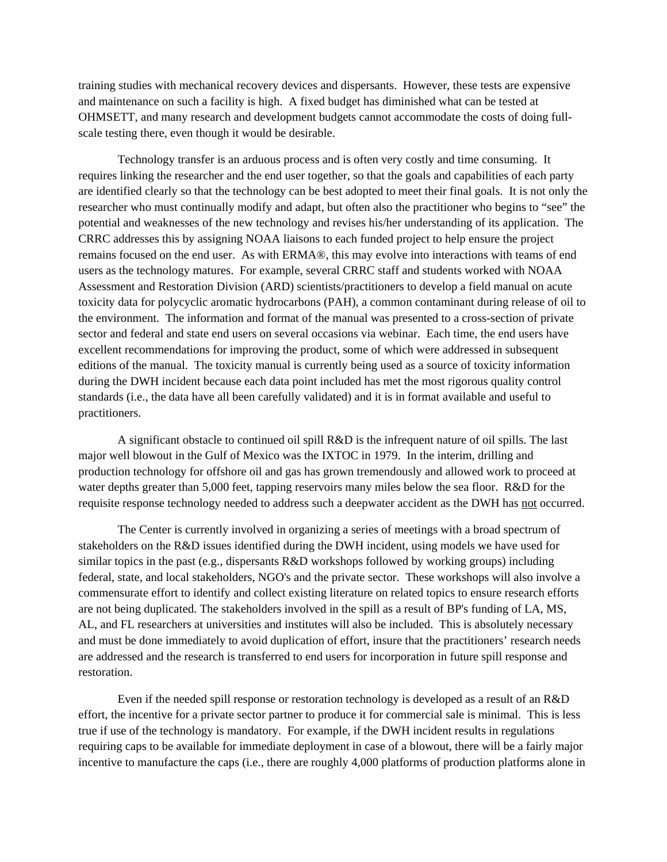training studies with mechanical recovery devices and dispersants. However, these tests are expensive and maintenance on such a facility is high. A fixed budget has diminished what can be tested at OHMSETT, and many research and development budgets cannot accommodate the costs of doing fullscale testing there, even though it would be desirable.

Technology transfer is an arduous process and is often very costly and time consuming. It requires linking the researcher and the end user together, so that the goals and capabilities of each party are identified clearly so that the technology can be best adopted to meet their final goals. It is not only the researcher who must continually modify and adapt, but often also the practitioner who begins to "see" the potential and weaknesses of the new technology and revises his/her understanding of its application. The CRRC addresses this by assigning NOAA liaisons to each funded project to help ensure the project remains focused on the end user. As with ERMA®, this may evolve into interactions with teams of end users as the technology matures. For example, several CRRC staff and students worked with NOAA Assessment and Restoration Division (ARD) scientists/practitioners to develop a field manual on acute toxicity data for polycyclic aromatic hydrocarbons (PAH), a common contaminant during release of oil to the environment. The information and format of the manual was presented to a cross-section of private sector and federal and state end users on several occasions via webinar. Each time, the end users have excellent recommendations for improving the product, some of which were addressed in subsequent editions of the manual. The toxicity manual is currently being used as a source of toxicity information during the DWH incident because each data point included has met the most rigorous quality control standards (i.e., the data have all been carefully validated) and it is in format available and useful to practitioners.

A significant obstacle to continued oil spill R&D is the infrequent nature of oil spills. The last major well blowout in the Gulf of Mexico was the IXTOC in 1979. In the interim, drilling and production technology for offshore oil and gas has grown tremendously and allowed work to proceed at water depths greater than 5,000 feet, tapping reservoirs many miles below the sea floor. R&D for the requisite response technology needed to address such a deepwater accident as the DWH has not occurred.

The Center is currently involved in organizing a series of meetings with a broad spectrum of stakeholders on the R&D issues identified during the DWH incident, using models we have used for similar topics in the past (e.g., dispersants R&D workshops followed by working groups) including federal, state, and local stakeholders, NGO's and the private sector. These workshops will also involve a commensurate effort to identify and collect existing literature on related topics to ensure research efforts are not being duplicated. The stakeholders involved in the spill as a result of BP's funding of LA, MS, AL, and FL researchers at universities and institutes will also be included. This is absolutely necessary and must be done immediately to avoid duplication of effort, insure that the practitioners' research needs are addressed and the research is transferred to end users for incorporation in future spill response and restoration.

Even if the needed spill response or restoration technology is developed as a result of an R&D effort, the incentive for a private sector partner to produce it for commercial sale is minimal. This is less true if use of the technology is mandatory. For example, if the DWH incident results in regulations requiring caps to be available for immediate deployment in case of a blowout, there will be a fairly major incentive to manufacture the caps (i.e., there are roughly 4,000 platforms of production platforms alone in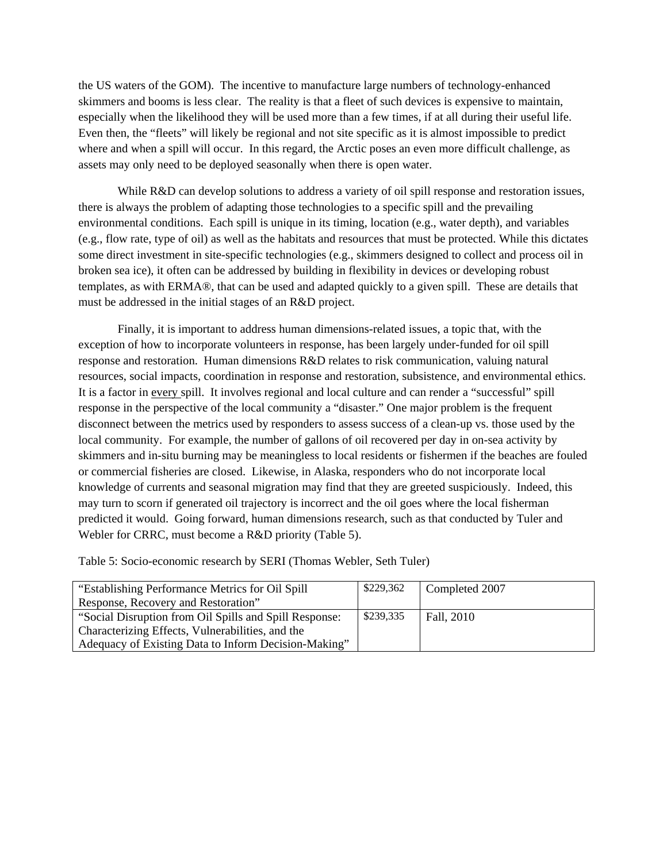the US waters of the GOM). The incentive to manufacture large numbers of technology-enhanced skimmers and booms is less clear. The reality is that a fleet of such devices is expensive to maintain, especially when the likelihood they will be used more than a few times, if at all during their useful life. Even then, the "fleets" will likely be regional and not site specific as it is almost impossible to predict where and when a spill will occur. In this regard, the Arctic poses an even more difficult challenge, as assets may only need to be deployed seasonally when there is open water.

While R&D can develop solutions to address a variety of oil spill response and restoration issues, there is always the problem of adapting those technologies to a specific spill and the prevailing environmental conditions. Each spill is unique in its timing, location (e.g., water depth), and variables (e.g., flow rate, type of oil) as well as the habitats and resources that must be protected. While this dictates some direct investment in site-specific technologies (e.g., skimmers designed to collect and process oil in broken sea ice), it often can be addressed by building in flexibility in devices or developing robust templates, as with ERMA®, that can be used and adapted quickly to a given spill. These are details that must be addressed in the initial stages of an R&D project.

 Finally, it is important to address human dimensions-related issues, a topic that, with the exception of how to incorporate volunteers in response, has been largely under-funded for oil spill response and restoration. Human dimensions R&D relates to risk communication, valuing natural resources, social impacts, coordination in response and restoration, subsistence, and environmental ethics. It is a factor in every spill. It involves regional and local culture and can render a "successful" spill response in the perspective of the local community a "disaster." One major problem is the frequent disconnect between the metrics used by responders to assess success of a clean-up vs. those used by the local community. For example, the number of gallons of oil recovered per day in on-sea activity by skimmers and in-situ burning may be meaningless to local residents or fishermen if the beaches are fouled or commercial fisheries are closed. Likewise, in Alaska, responders who do not incorporate local knowledge of currents and seasonal migration may find that they are greeted suspiciously. Indeed, this may turn to scorn if generated oil trajectory is incorrect and the oil goes where the local fisherman predicted it would. Going forward, human dimensions research, such as that conducted by Tuler and Webler for CRRC, must become a R&D priority (Table 5).

Table 5: Socio-economic research by SERI (Thomas Webler, Seth Tuler)

| "Establishing Performance Metrics for Oil Spill"       | \$229,362 | Completed 2007 |
|--------------------------------------------------------|-----------|----------------|
| Response, Recovery and Restoration"                    |           |                |
| "Social Disruption from Oil Spills and Spill Response: | \$239,335 | Fall, 2010     |
| Characterizing Effects, Vulnerabilities, and the       |           |                |
| Adequacy of Existing Data to Inform Decision-Making"   |           |                |